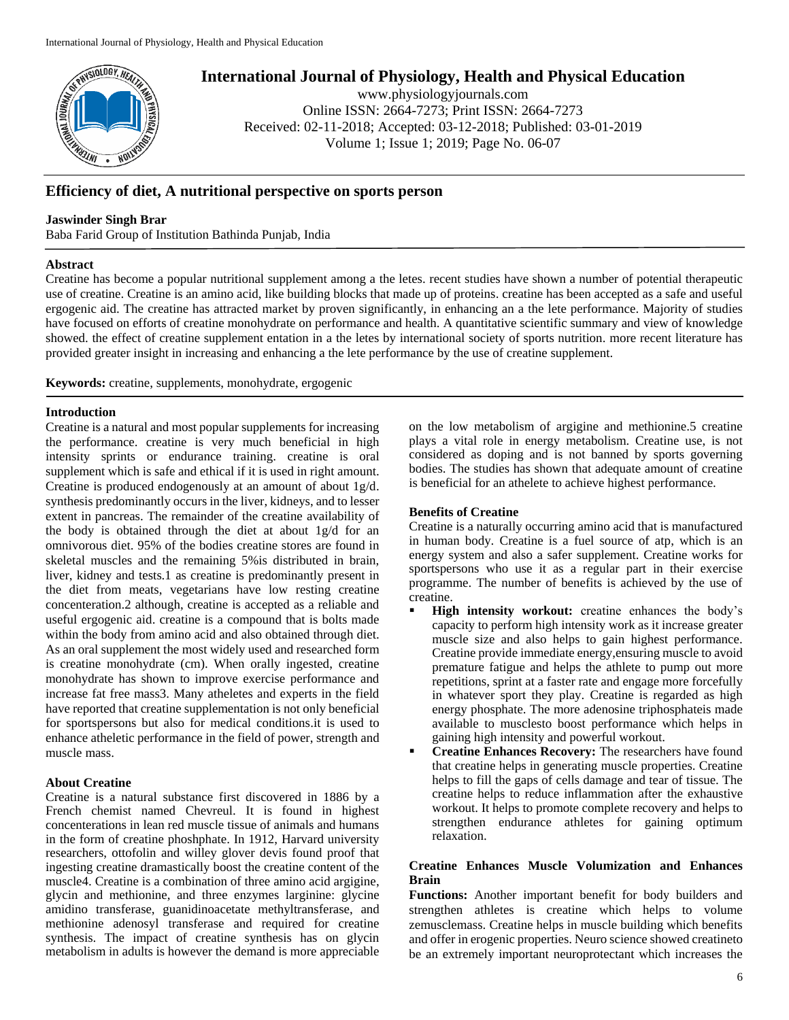

**International Journal of Physiology, Health and Physical Education**

www.physiologyjournals.com Online ISSN: 2664-7273; Print ISSN: 2664-7273 Received: 02-11-2018; Accepted: 03-12-2018; Published: 03-01-2019 Volume 1; Issue 1; 2019; Page No. 06-07

# **Efficiency of diet, A nutritional perspective on sports person**

### **Jaswinder Singh Brar**

Baba Farid Group of Institution Bathinda Punjab, India

#### **Abstract**

Creatine has become a popular nutritional supplement among a the letes. recent studies have shown a number of potential therapeutic use of creatine. Creatine is an amino acid, like building blocks that made up of proteins. creatine has been accepted as a safe and useful ergogenic aid. The creatine has attracted market by proven significantly, in enhancing an a the lete performance. Majority of studies have focused on efforts of creatine monohydrate on performance and health. A quantitative scientific summary and view of knowledge showed. the effect of creatine supplement entation in a the letes by international society of sports nutrition. more recent literature has provided greater insight in increasing and enhancing a the lete performance by the use of creatine supplement.

**Keywords:** creatine, supplements, monohydrate, ergogenic

#### **Introduction**

Creatine is a natural and most popular supplements for increasing the performance. creatine is very much beneficial in high intensity sprints or endurance training. creatine is oral supplement which is safe and ethical if it is used in right amount. Creatine is produced endogenously at an amount of about 1g/d. synthesis predominantly occurs in the liver, kidneys, and to lesser extent in pancreas. The remainder of the creatine availability of the body is obtained through the diet at about 1g/d for an omnivorous diet. 95% of the bodies creatine stores are found in skeletal muscles and the remaining 5%is distributed in brain, liver, kidney and tests.1 as creatine is predominantly present in the diet from meats, vegetarians have low resting creatine concenteration.2 although, creatine is accepted as a reliable and useful ergogenic aid. creatine is a compound that is bolts made within the body from amino acid and also obtained through diet. As an oral supplement the most widely used and researched form is creatine monohydrate (cm). When orally ingested, creatine monohydrate has shown to improve exercise performance and increase fat free mass3. Many atheletes and experts in the field have reported that creatine supplementation is not only beneficial for sportspersons but also for medical conditions.it is used to enhance atheletic performance in the field of power, strength and muscle mass.

#### **About Creatine**

Creatine is a natural substance first discovered in 1886 by a French chemist named Chevreul. It is found in highest concenterations in lean red muscle tissue of animals and humans in the form of creatine phoshphate. In 1912, Harvard university researchers, ottofolin and willey glover devis found proof that ingesting creatine dramastically boost the creatine content of the muscle4. Creatine is a combination of three amino acid argigine, glycin and methionine, and three enzymes larginine: glycine amidino transferase, guanidinoacetate methyltransferase, and methionine adenosyl transferase and required for creatine synthesis. The impact of creatine synthesis has on glycin metabolism in adults is however the demand is more appreciable

on the low metabolism of argigine and methionine.5 creatine plays a vital role in energy metabolism. Creatine use, is not considered as doping and is not banned by sports governing bodies. The studies has shown that adequate amount of creatine is beneficial for an athelete to achieve highest performance.

#### **Benefits of Creatine**

Creatine is a naturally occurring amino acid that is manufactured in human body. Creatine is a fuel source of atp, which is an energy system and also a safer supplement. Creatine works for sportspersons who use it as a regular part in their exercise programme. The number of benefits is achieved by the use of creatine.

- **High intensity workout:** creatine enhances the body's capacity to perform high intensity work as it increase greater muscle size and also helps to gain highest performance. Creatine provide immediate energy,ensuring muscle to avoid premature fatigue and helps the athlete to pump out more repetitions, sprint at a faster rate and engage more forcefully in whatever sport they play. Creatine is regarded as high energy phosphate. The more adenosine triphosphateis made available to musclesto boost performance which helps in gaining high intensity and powerful workout.
- **Creatine Enhances Recovery:** The researchers have found that creatine helps in generating muscle properties. Creatine helps to fill the gaps of cells damage and tear of tissue. The creatine helps to reduce inflammation after the exhaustive workout. It helps to promote complete recovery and helps to strengthen endurance athletes for gaining optimum relaxation.

### **Creatine Enhances Muscle Volumization and Enhances Brain**

**Functions:** Another important benefit for body builders and strengthen athletes is creatine which helps to volume zemusclemass. Creatine helps in muscle building which benefits and offer in erogenic properties. Neuro science showed creatineto be an extremely important neuroprotectant which increases the